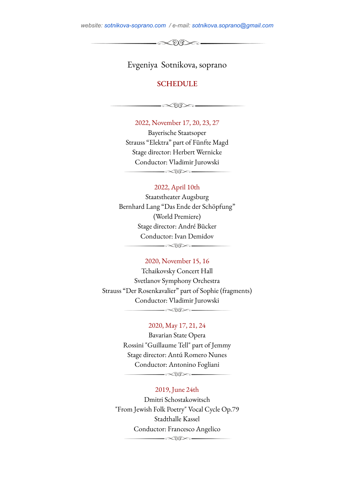*website: [sotnikova-soprano.com](http://sotnikova-soprano.com) / e-mail: [sotnikova.soprano@gmail.com](mailto:sotnikova.soprano@gmail.com)*

 $-\infty$ 

Evgeniya Sotnikova, soprano

# **SCHEDULE**

 $-\infty$ DB $\infty$  —

2022, November 17, 20, 23, 27 Bayerische Staatsoper Strauss "Elektra" part of Fünfte Magd Stage director: Herbert Wernicke Conductor: Vladimir Jurowski

 $\begin{picture}(150,10) \put(0,0){\line(1,0){10}} \put(15,0){\line(1,0){10}} \put(15,0){\line(1,0){10}} \put(15,0){\line(1,0){10}} \put(15,0){\line(1,0){10}} \put(15,0){\line(1,0){10}} \put(15,0){\line(1,0){10}} \put(15,0){\line(1,0){10}} \put(15,0){\line(1,0){10}} \put(15,0){\line(1,0){10}} \put(15,0){\line(1,0){10}} \put(15,0){\line($ 

# 2022, April 10th

Staatstheater Augsburg Bernhard Lang "Das Ende der Schöpfung" (World Premiere) Stage director: André Bücker Conductor: Ivan Demidov  $\begin{picture}(150,10) \put(0,0){\line(1,0){10}} \put(15,0){\line(1,0){10}} \put(15,0){\line(1,0){10}} \put(15,0){\line(1,0){10}} \put(15,0){\line(1,0){10}} \put(15,0){\line(1,0){10}} \put(15,0){\line(1,0){10}} \put(15,0){\line(1,0){10}} \put(15,0){\line(1,0){10}} \put(15,0){\line(1,0){10}} \put(15,0){\line(1,0){10}} \put(15,0){\line($ 

## 2020, November 15, 16

Tchaikovsky Concert Hall Svetlanov Symphony Orchestra Strauss "Der Rosenkavalier" part of Sophie (fragments) Conductor: Vladimir Jurowski  $\begin{picture}(150,10) \put(0,0){\line(1,0){10}} \put(15,0){\line(1,0){10}} \put(15,0){\line(1,0){10}} \put(15,0){\line(1,0){10}} \put(15,0){\line(1,0){10}} \put(15,0){\line(1,0){10}} \put(15,0){\line(1,0){10}} \put(15,0){\line(1,0){10}} \put(15,0){\line(1,0){10}} \put(15,0){\line(1,0){10}} \put(15,0){\line(1,0){10}} \put(15,0){\line($ 

## 2020, May 17, 21, 24

Bavarian State Opera Rossini "Guillaume Tell" part of Jemmy Stage director: Antú Romero Nunes Conductor: Antonino Fogliani

 $\begin{picture}(150,10) \put(0,0){\line(1,0){10}} \put(15,0){\line(1,0){10}} \put(15,0){\line(1,0){10}} \put(15,0){\line(1,0){10}} \put(15,0){\line(1,0){10}} \put(15,0){\line(1,0){10}} \put(15,0){\line(1,0){10}} \put(15,0){\line(1,0){10}} \put(15,0){\line(1,0){10}} \put(15,0){\line(1,0){10}} \put(15,0){\line(1,0){10}} \put(15,0){\line($ 

## 2019, June 24th

Dmitri Schostakowitsch "From Jewish Folk Poetry" Vocal Cycle Op.79 Stadthalle Kassel Conductor: Francesco Angelico

 $\begin{picture}(150,10) \put(0,0){\line(1,0){10}} \put(15,0){\line(1,0){10}} \put(15,0){\line(1,0){10}} \put(15,0){\line(1,0){10}} \put(15,0){\line(1,0){10}} \put(15,0){\line(1,0){10}} \put(15,0){\line(1,0){10}} \put(15,0){\line(1,0){10}} \put(15,0){\line(1,0){10}} \put(15,0){\line(1,0){10}} \put(15,0){\line(1,0){10}} \put(15,0){\line($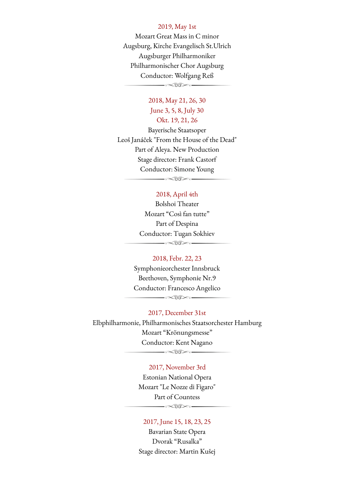#### 2019, May 1st

Mozart Great Mass in C minor Augsburg, Kirche Evangelisch St.Ulrich Augsburger Philharmoniker Philharmonischer Chor Augsburg Conductor: Wolfgang Reß  $-\infty$ 

# 2018, May 21, 26, 30 June 3, 5, 8, July 30 Okt. 19, 21, 26

Bayerische Staatsoper Leoš Janáček "From the House of the Dead" Part of Aleya. New Production Stage director: Frank Castorf Conductor: Simone Young

### 2018, April 4th

 $-\infty$ 00 $\infty$ .

Bolshoi Theater Mozart "Così fan tutte" Part of Despina Conductor: Tugan Sokhiev  $\longrightarrow\hspace{-2pt}\infty\hspace{-2pt}\infty\hspace{-2pt}\to\hspace{-2pt}\infty\hspace{-2pt}\infty\hspace{-2pt}\infty$ 

#### 2018, Febr. 22, 23

Symphonieorchester Innsbruck Beethoven, Symphonie Nr.9 Conductor: Francesco Angelico

 $-\infty$ 

# 2017, December 31st

Elbphilharmonie, Philharmonisches Staatsorchester Hamburg Mozart "Krönungsmesse" Conductor: Kent Nagano  $-\infty$ 

## 2017, November 3rd

Estonian National Opera Mozart "Le Nozze di Figaro" Part of Countess

 $\longrightarrow\hspace{-2pt}\infty\hspace{-2pt}\infty\hspace{-2pt}\infty\hspace{-2pt}\infty\hspace{-2pt}\infty$ 

## 2017, June 15, 18, 23, 25

Bavarian State Opera Dvorak "Rusalka" Stage director: Martin Kušej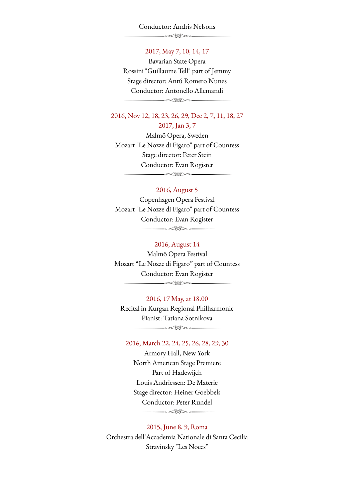#### Conductor: Andris Nelsons

 $\overbrace{\phantom{aaaaaaa}}^{x} \overbrace{\phantom{aaaaaaa}}^{x} \overbrace{\phantom{aaaaaaa}}^{x}$ 

## 2017, May 7, 10, 14, 17

Bavarian State Opera Rossini "Guillaume Tell" part of Jemmy Stage director: Antú Romero Nunes Conductor: Antonello Allemandi  $\begin{picture}(150,10) \put(0,0){\line(1,0){10}} \put(15,0){\line(1,0){10}} \put(15,0){\line(1,0){10}} \put(15,0){\line(1,0){10}} \put(15,0){\line(1,0){10}} \put(15,0){\line(1,0){10}} \put(15,0){\line(1,0){10}} \put(15,0){\line(1,0){10}} \put(15,0){\line(1,0){10}} \put(15,0){\line(1,0){10}} \put(15,0){\line(1,0){10}} \put(15,0){\line($ 

2016, Nov 12, 18, 23, 26, 29, Dec 2, 7, 11, 18, 27 2017, Jan 3, 7

Malmö Opera, Sweden Mozart "Le Nozze di Figaro" part of Countess Stage director: Peter Stein Conductor: Evan Rogister  $-\infty$ US $\infty$ -

## 2016, August 5

Copenhagen Opera Festival Mozart "Le Nozze di Figaro" part of Countess Conductor: Evan Rogister  $\begin{picture}(150,10) \put(0,0){\line(1,0){10}} \put(15,0){\line(1,0){10}} \put(15,0){\line(1,0){10}} \put(15,0){\line(1,0){10}} \put(15,0){\line(1,0){10}} \put(15,0){\line(1,0){10}} \put(15,0){\line(1,0){10}} \put(15,0){\line(1,0){10}} \put(15,0){\line(1,0){10}} \put(15,0){\line(1,0){10}} \put(15,0){\line(1,0){10}} \put(15,0){\line($ 

# 2016, August 14

Malmö Opera Festival Mozart "Le Nozze di Figaro" part of Countess Conductor: Evan Rogister  $\begin{picture}(150,10) \put(0,0){\line(1,0){10}} \put(15,0){\line(1,0){10}} \put(15,0){\line(1,0){10}} \put(15,0){\line(1,0){10}} \put(15,0){\line(1,0){10}} \put(15,0){\line(1,0){10}} \put(15,0){\line(1,0){10}} \put(15,0){\line(1,0){10}} \put(15,0){\line(1,0){10}} \put(15,0){\line(1,0){10}} \put(15,0){\line(1,0){10}} \put(15,0){\line($ 

2016, 17 May, at 18.00

Recital in Kurgan Regional Philharmonic Pianist: Tatiana Sotnikova  $\longrightarrow\hspace{-2pt}\begin{array}{l}\hspace{-2pt}\text{\Large$\longrightarrow$} \end{array}$ 

### 2016, March 22, 24, 25, 26, 28, 29, 30

Armory Hall, New York North American Stage Premiere Part of Hadewijch Louis Andriessen: De Materie Stage director: Heiner Goebbels Conductor: Peter Rundel  $\begin{picture}(150,10) \put(0,0){\line(1,0){10}} \put(15,0){\line(1,0){10}} \put(15,0){\line(1,0){10}} \put(15,0){\line(1,0){10}} \put(15,0){\line(1,0){10}} \put(15,0){\line(1,0){10}} \put(15,0){\line(1,0){10}} \put(15,0){\line(1,0){10}} \put(15,0){\line(1,0){10}} \put(15,0){\line(1,0){10}} \put(15,0){\line(1,0){10}} \put(15,0){\line($ 

2015, June 8, 9, Roma Orchestra dell'Accademia Nationale di Santa Cecilia Stravinsky "Les Noces"